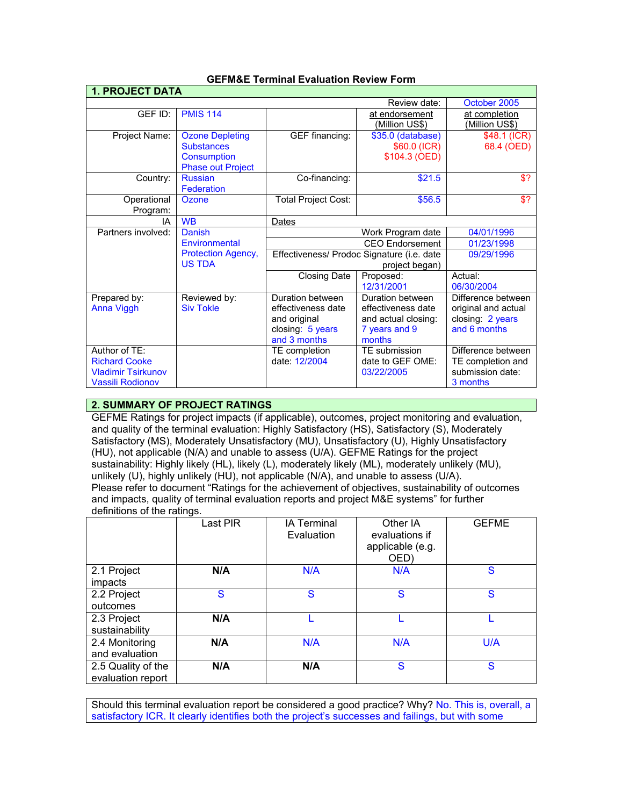| <b>1. PROJECT DATA</b>    |                           |                                            |                        |                     |
|---------------------------|---------------------------|--------------------------------------------|------------------------|---------------------|
|                           |                           |                                            | Review date:           | October 2005        |
| GEF ID:                   | <b>PMIS 114</b>           |                                            | at endorsement         | at completion       |
|                           |                           |                                            | (Million US\$)         | (Million US\$)      |
| Project Name:             | <b>Ozone Depleting</b>    | <b>GEF</b> financing:                      | \$35.0 (database)      | $$48.1$ (ICR)       |
|                           | <b>Substances</b>         |                                            | \$60.0 (ICR)           | 68.4 (OED)          |
|                           | <b>Consumption</b>        |                                            | \$104.3 (OED)          |                     |
|                           | <b>Phase out Project</b>  |                                            |                        |                     |
| Country:                  | <b>Russian</b>            | Co-financing:                              | \$21.5                 | \$?                 |
|                           | Federation                |                                            |                        |                     |
| Operational               | Ozone                     | <b>Total Project Cost:</b>                 | \$56.5                 | \$?                 |
| Program:                  |                           |                                            |                        |                     |
| ΙA                        | <b>W<sub>B</sub></b>      | Dates                                      |                        |                     |
| Partners involved:        | Danish                    |                                            | Work Program date      | 04/01/1996          |
|                           | Environmental             |                                            | <b>CEO</b> Endorsement | 01/23/1998          |
|                           | <b>Protection Agency,</b> | Effectiveness/ Prodoc Signature (i.e. date |                        | 09/29/1996          |
|                           | <b>US TDA</b>             |                                            | project began)         |                     |
|                           |                           | <b>Closing Date</b>                        | Proposed:              | Actual:             |
|                           |                           |                                            | 12/31/2001             | 06/30/2004          |
| Prepared by:              | Reviewed by:              | Duration between                           | Duration between       | Difference between  |
| <b>Anna Viggh</b>         | <b>Siv Tokle</b>          | effectiveness date                         | effectiveness date     | original and actual |
|                           |                           | and original                               | and actual closing:    | closing: 2 years    |
|                           |                           | closing: 5 years                           | 7 years and 9          | and 6 months        |
|                           |                           | and 3 months                               | months                 |                     |
| Author of TF:             |                           | TE completion                              | TE submission          | Difference between  |
| <b>Richard Cooke</b>      |                           | date: 12/2004                              | date to GEF OME:       | TE completion and   |
| <b>Vladimir Tsirkunov</b> |                           |                                            | 03/22/2005             | submission date:    |
| <b>Vassili Rodionov</b>   |                           |                                            |                        | 3 months            |

## **GEFM&E Terminal Evaluation Review Form**

# **2. SUMMARY OF PROJECT RATINGS**

GEFME Ratings for project impacts (if applicable), outcomes, project monitoring and evaluation, and quality of the terminal evaluation: Highly Satisfactory (HS), Satisfactory (S), Moderately Satisfactory (MS), Moderately Unsatisfactory (MU), Unsatisfactory (U), Highly Unsatisfactory (HU), not applicable (N/A) and unable to assess (U/A). GEFME Ratings for the project sustainability: Highly likely (HL), likely (L), moderately likely (ML), moderately unlikely (MU), unlikely (U), highly unlikely (HU), not applicable (N/A), and unable to assess (U/A). Please refer to document "Ratings for the achievement of objectives, sustainability of outcomes and impacts, quality of terminal evaluation reports and project M&E systems" for further definitions of the ratings.

|                                         | Last PIR | <b>IA Terminal</b><br>Evaluation | Other IA<br>evaluations if<br>applicable (e.g.<br>OED) | <b>GEFME</b> |
|-----------------------------------------|----------|----------------------------------|--------------------------------------------------------|--------------|
| 2.1 Project<br>impacts                  | N/A      | N/A                              | N/A                                                    | S            |
| 2.2 Project<br>outcomes                 | S        | S                                | S                                                      | S            |
| 2.3 Project<br>sustainability           | N/A      |                                  |                                                        |              |
| 2.4 Monitoring<br>and evaluation        | N/A      | N/A                              | N/A                                                    | U/A          |
| 2.5 Quality of the<br>evaluation report | N/A      | N/A                              | S                                                      | S            |

Should this terminal evaluation report be considered a good practice? Why? No. This is, overall, a satisfactory ICR. It clearly identifies both the project's successes and failings, but with some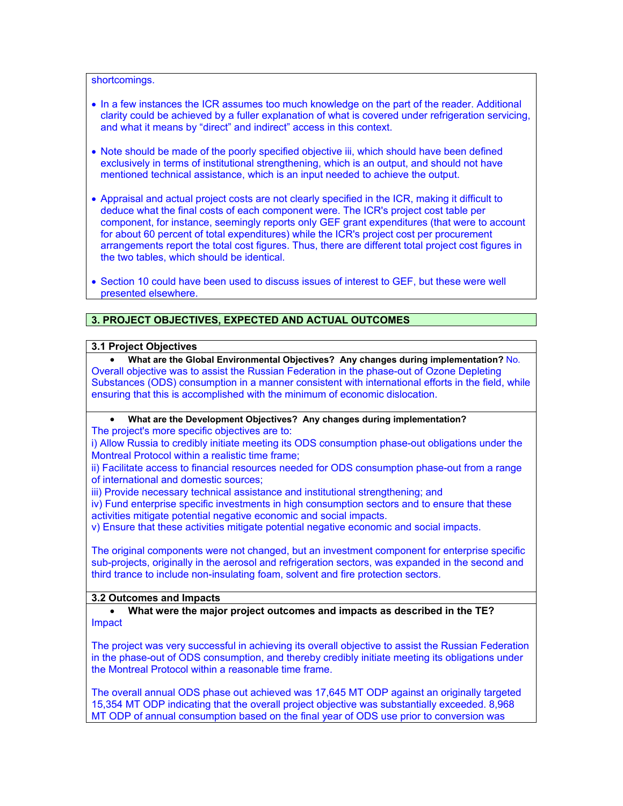shortcomings.

- In a few instances the ICR assumes too much knowledge on the part of the reader. Additional clarity could be achieved by a fuller explanation of what is covered under refrigeration servicing, and what it means by "direct" and indirect" access in this context.
- Note should be made of the poorly specified objective iii, which should have been defined exclusively in terms of institutional strengthening, which is an output, and should not have mentioned technical assistance, which is an input needed to achieve the output.
- Appraisal and actual project costs are not clearly specified in the ICR, making it difficult to deduce what the final costs of each component were. The ICR's project cost table per component, for instance, seemingly reports only GEF grant expenditures (that were to account for about 60 percent of total expenditures) while the ICR's project cost per procurement arrangements report the total cost figures. Thus, there are different total project cost figures in the two tables, which should be identical.
- Section 10 could have been used to discuss issues of interest to GEF, but these were well presented elsewhere.

## **3. PROJECT OBJECTIVES, EXPECTED AND ACTUAL OUTCOMES**

#### **3.1 Project Objectives**

• **What are the Global Environmental Objectives? Any changes during implementation?** No. Overall objective was to assist the Russian Federation in the phase-out of Ozone Depleting Substances (ODS) consumption in a manner consistent with international efforts in the field, while ensuring that this is accomplished with the minimum of economic dislocation.

• **What are the Development Objectives? Any changes during implementation?**

The project's more specific objectives are to:

i) Allow Russia to credibly initiate meeting its ODS consumption phase-out obligations under the Montreal Protocol within a realistic time frame;

ii) Facilitate access to financial resources needed for ODS consumption phase-out from a range of international and domestic sources;

iii) Provide necessary technical assistance and institutional strengthening; and

iv) Fund enterprise specific investments in high consumption sectors and to ensure that these activities mitigate potential negative economic and social impacts.

v) Ensure that these activities mitigate potential negative economic and social impacts.

The original components were not changed, but an investment component for enterprise specific sub-projects, originally in the aerosol and refrigeration sectors, was expanded in the second and third trance to include non-insulating foam, solvent and fire protection sectors.

#### **3.2 Outcomes and Impacts**

• **What were the major project outcomes and impacts as described in the TE?** Impact

The project was very successful in achieving its overall objective to assist the Russian Federation in the phase-out of ODS consumption, and thereby credibly initiate meeting its obligations under the Montreal Protocol within a reasonable time frame.

The overall annual ODS phase out achieved was 17,645 MT ODP against an originally targeted 15,354 MT ODP indicating that the overall project objective was substantially exceeded. 8,968 MT ODP of annual consumption based on the final year of ODS use prior to conversion was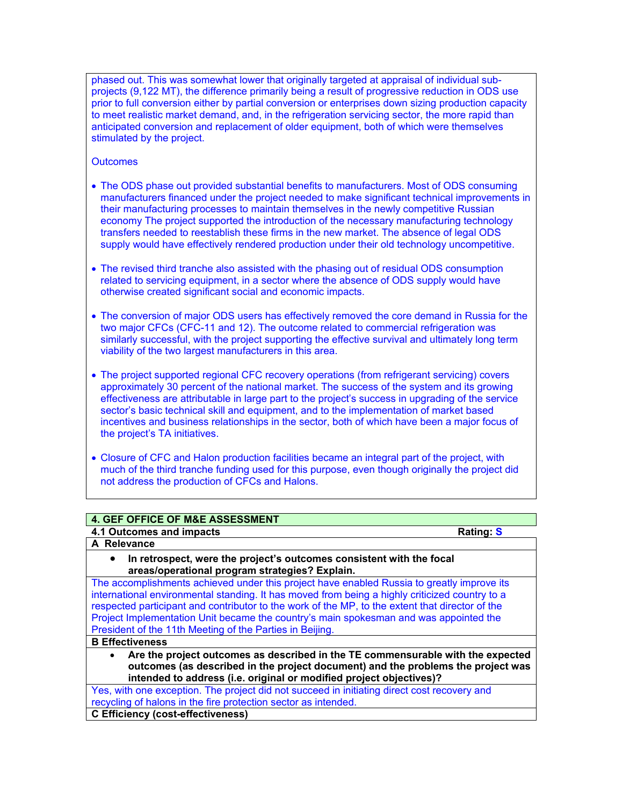phased out. This was somewhat lower that originally targeted at appraisal of individual subprojects (9,122 MT), the difference primarily being a result of progressive reduction in ODS use prior to full conversion either by partial conversion or enterprises down sizing production capacity to meet realistic market demand, and, in the refrigeration servicing sector, the more rapid than anticipated conversion and replacement of older equipment, both of which were themselves stimulated by the project.

## **Outcomes**

- The ODS phase out provided substantial benefits to manufacturers. Most of ODS consuming manufacturers financed under the project needed to make significant technical improvements in their manufacturing processes to maintain themselves in the newly competitive Russian economy The project supported the introduction of the necessary manufacturing technology transfers needed to reestablish these firms in the new market. The absence of legal ODS supply would have effectively rendered production under their old technology uncompetitive.
- The revised third tranche also assisted with the phasing out of residual ODS consumption related to servicing equipment, in a sector where the absence of ODS supply would have otherwise created significant social and economic impacts.
- The conversion of major ODS users has effectively removed the core demand in Russia for the two major CFCs (CFC-11 and 12). The outcome related to commercial refrigeration was similarly successful, with the project supporting the effective survival and ultimately long term viability of the two largest manufacturers in this area.
- The project supported regional CFC recovery operations (from refrigerant servicing) covers approximately 30 percent of the national market. The success of the system and its growing effectiveness are attributable in large part to the project's success in upgrading of the service sector's basic technical skill and equipment, and to the implementation of market based incentives and business relationships in the sector, both of which have been a major focus of the project's TA initiatives.
- Closure of CFC and Halon production facilities became an integral part of the project, with much of the third tranche funding used for this purpose, even though originally the project did not address the production of CFCs and Halons.

| 4. GEF OFFICE OF M&E ASSESSMENT                                                                                                                                                                                                                                                                                                                                                                                                                      |                  |
|------------------------------------------------------------------------------------------------------------------------------------------------------------------------------------------------------------------------------------------------------------------------------------------------------------------------------------------------------------------------------------------------------------------------------------------------------|------------------|
| 4.1 Outcomes and impacts                                                                                                                                                                                                                                                                                                                                                                                                                             | <b>Rating: S</b> |
| A Relevance                                                                                                                                                                                                                                                                                                                                                                                                                                          |                  |
| In retrospect, were the project's outcomes consistent with the focal<br>$\bullet$<br>areas/operational program strategies? Explain.                                                                                                                                                                                                                                                                                                                  |                  |
| The accomplishments achieved under this project have enabled Russia to greatly improve its<br>international environmental standing. It has moved from being a highly criticized country to a<br>respected participant and contributor to the work of the MP, to the extent that director of the<br>Project Implementation Unit became the country's main spokesman and was appointed the<br>President of the 11th Meeting of the Parties in Beijing. |                  |
| <b>B</b> Effectiveness                                                                                                                                                                                                                                                                                                                                                                                                                               |                  |
| Are the project outcomes as described in the TE commensurable with the expected<br>$\bullet$<br>outcomes (as described in the project document) and the problems the project was<br>intended to address (i.e. original or modified project objectives)?                                                                                                                                                                                              |                  |
| Yes, with one exception. The project did not succeed in initiating direct cost recovery and                                                                                                                                                                                                                                                                                                                                                          |                  |
| recycling of halons in the fire protection sector as intended.                                                                                                                                                                                                                                                                                                                                                                                       |                  |
| <b>C</b> Efficiency (cost-effectiveness)                                                                                                                                                                                                                                                                                                                                                                                                             |                  |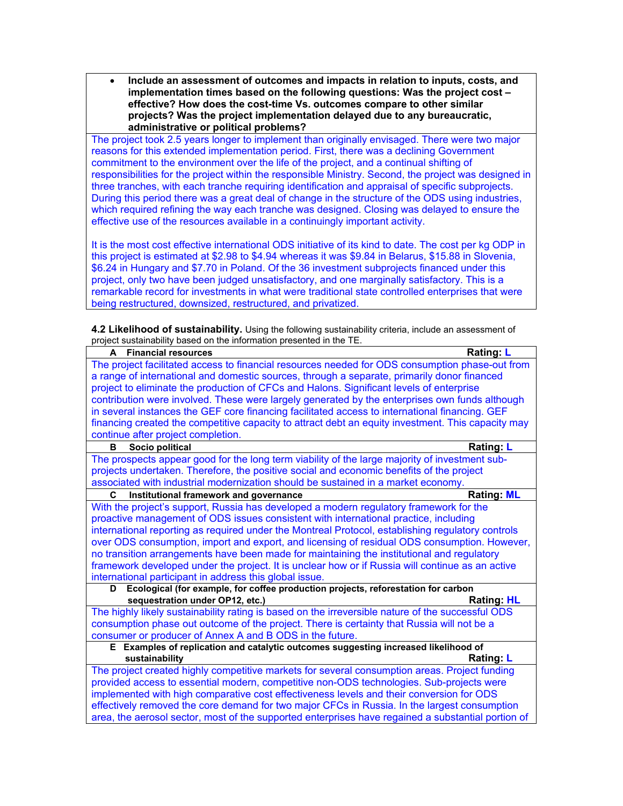• **Include an assessment of outcomes and impacts in relation to inputs, costs, and implementation times based on the following questions: Was the project cost – effective? How does the cost-time Vs. outcomes compare to other similar projects? Was the project implementation delayed due to any bureaucratic, administrative or political problems?**

The project took 2.5 years longer to implement than originally envisaged. There were two major reasons for this extended implementation period. First, there was a declining Government commitment to the environment over the life of the project, and a continual shifting of responsibilities for the project within the responsible Ministry. Second, the project was designed in three tranches, with each tranche requiring identification and appraisal of specific subprojects. During this period there was a great deal of change in the structure of the ODS using industries, which required refining the way each tranche was designed. Closing was delayed to ensure the effective use of the resources available in a continuingly important activity.

It is the most cost effective international ODS initiative of its kind to date. The cost per kg ODP in this project is estimated at \$2.98 to \$4.94 whereas it was \$9.84 in Belarus, \$15.88 in Slovenia, \$6.24 in Hungary and \$7.70 in Poland. Of the 36 investment subprojects financed under this project, only two have been judged unsatisfactory, and one marginally satisfactory. This is a remarkable record for investments in what were traditional state controlled enterprises that were being restructured, downsized, restructured, and privatized.

**4.2 Likelihood of sustainability.** Using the following sustainability criteria, include an assessment of project sustainability based on the information presented in the TE.

| spot cactamiasmity sacca on the information procedured in the Th<br>A Financial resources          | Rating: L         |
|----------------------------------------------------------------------------------------------------|-------------------|
| The project facilitated access to financial resources needed for ODS consumption phase-out from    |                   |
| a range of international and domestic sources, through a separate, primarily donor financed        |                   |
| project to eliminate the production of CFCs and Halons. Significant levels of enterprise           |                   |
| contribution were involved. These were largely generated by the enterprises own funds although     |                   |
| in several instances the GEF core financing facilitated access to international financing. GEF     |                   |
| financing created the competitive capacity to attract debt an equity investment. This capacity may |                   |
| continue after project completion.                                                                 |                   |
| Socio political<br>в                                                                               | <b>Rating: L</b>  |
| The prospects appear good for the long term viability of the large majority of investment sub-     |                   |
| projects undertaken. Therefore, the positive social and economic benefits of the project           |                   |
| associated with industrial modernization should be sustained in a market economy.                  |                   |
| Institutional framework and governance<br>C                                                        | <b>Rating: ML</b> |
| With the project's support, Russia has developed a modern regulatory framework for the             |                   |
| proactive management of ODS issues consistent with international practice, including               |                   |
| international reporting as required under the Montreal Protocol, establishing regulatory controls  |                   |
| over ODS consumption, import and export, and licensing of residual ODS consumption. However,       |                   |
| no transition arrangements have been made for maintaining the institutional and regulatory         |                   |
| framework developed under the project. It is unclear how or if Russia will continue as an active   |                   |
| international participant in address this global issue.                                            |                   |
| Ecological (for example, for coffee production projects, reforestation for carbon<br>D             |                   |
| sequestration under OP12, etc.)                                                                    | <b>Rating: HL</b> |
| The highly likely sustainability rating is based on the irreversible nature of the successful ODS  |                   |
| consumption phase out outcome of the project. There is certainty that Russia will not be a         |                   |
| consumer or producer of Annex A and B ODS in the future.                                           |                   |
| E Examples of replication and catalytic outcomes suggesting increased likelihood of                |                   |
| sustainability                                                                                     | Rating: L         |
| The project created highly competitive markets for several consumption areas. Project funding      |                   |
| provided access to essential modern, competitive non-ODS technologies. Sub-projects were           |                   |
| implemented with high comparative cost effectiveness levels and their conversion for ODS           |                   |
| effectively removed the core demand for two major CFCs in Russia. In the largest consumption       |                   |
| area, the aerosol sector, most of the supported enterprises have regained a substantial portion of |                   |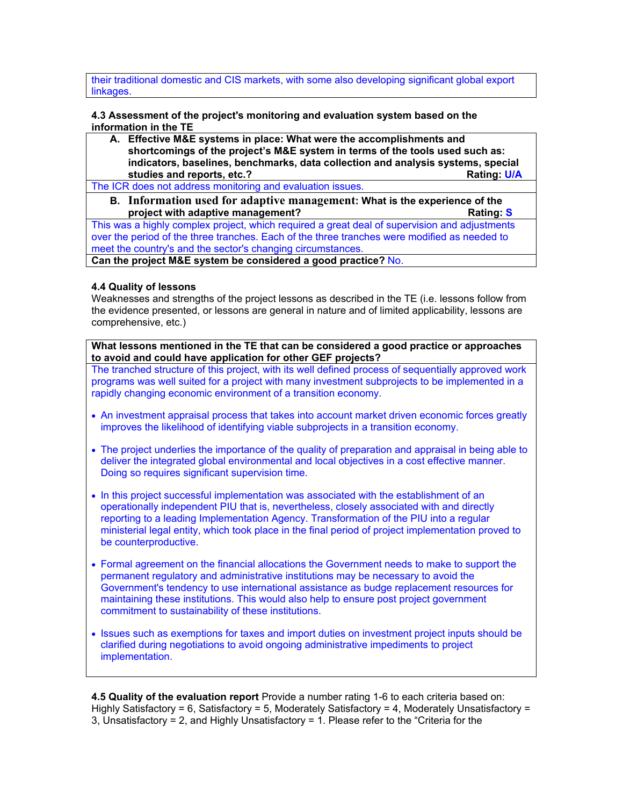their traditional domestic and CIS markets, with some also developing significant global export linkages.

**4.3 Assessment of the project's monitoring and evaluation system based on the information in the TE** 

**A. Effective M&E systems in place: What were the accomplishments and shortcomings of the project's M&E system in terms of the tools used such as: indicators, baselines, benchmarks, data collection and analysis systems, special**  studies and reports, etc.?

The ICR does not address monitoring and evaluation issues.

**B. Information used for adaptive management: What is the experience of the project with adaptive management? Constant in the set of the set of the set of the set of the set of the set of the set of the set of the set of the set of the set of the set of the set of the set of the set of the set** 

This was a highly complex project, which required a great deal of supervision and adjustments over the period of the three tranches. Each of the three tranches were modified as needed to meet the country's and the sector's changing circumstances.

**Can the project M&E system be considered a good practice?** No.

### **4.4 Quality of lessons**

Weaknesses and strengths of the project lessons as described in the TE (i.e. lessons follow from the evidence presented, or lessons are general in nature and of limited applicability, lessons are comprehensive, etc.)

**What lessons mentioned in the TE that can be considered a good practice or approaches to avoid and could have application for other GEF projects?**

The tranched structure of this project, with its well defined process of sequentially approved work programs was well suited for a project with many investment subprojects to be implemented in a rapidly changing economic environment of a transition economy.

- An investment appraisal process that takes into account market driven economic forces greatly improves the likelihood of identifying viable subprojects in a transition economy.
- The project underlies the importance of the quality of preparation and appraisal in being able to deliver the integrated global environmental and local objectives in a cost effective manner. Doing so requires significant supervision time.
- In this project successful implementation was associated with the establishment of an operationally independent PIU that is, nevertheless, closely associated with and directly reporting to a leading Implementation Agency. Transformation of the PIU into a regular ministerial legal entity, which took place in the final period of project implementation proved to be counterproductive.
- Formal agreement on the financial allocations the Government needs to make to support the permanent regulatory and administrative institutions may be necessary to avoid the Government's tendency to use international assistance as budge replacement resources for maintaining these institutions. This would also help to ensure post project government commitment to sustainability of these institutions.
- Issues such as exemptions for taxes and import duties on investment project inputs should be clarified during negotiations to avoid ongoing administrative impediments to project implementation.

**4.5 Quality of the evaluation report** Provide a number rating 1-6 to each criteria based on: Highly Satisfactory = 6, Satisfactory = 5, Moderately Satisfactory = 4, Moderately Unsatisfactory = 3, Unsatisfactory = 2, and Highly Unsatisfactory = 1. Please refer to the "Criteria for the